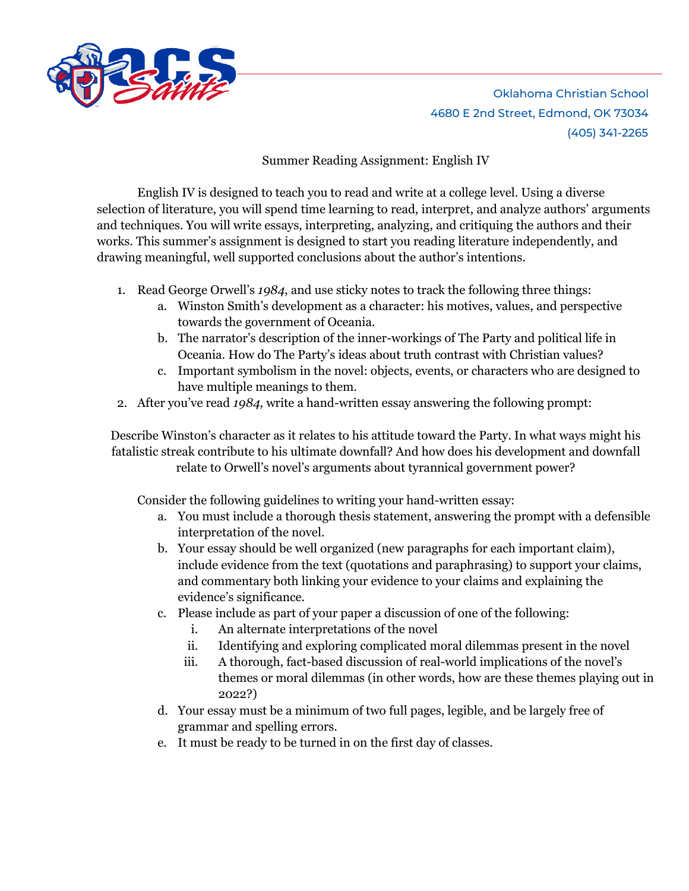

Oklahoma Christian School 4680 E 2nd Street, Edmond, OK 73034 (405) 341-2265

Summer Reading Assignment: English IV

English IV is designed to teach you to read and write at a college level. Using a diverse selection of literature, you will spend time learning to read, interpret, and analyze authors' arguments and techniques. You will write essays, interpreting, analyzing, and critiquing the authors and their works. This summer's assignment is designed to start you reading literature independently, and drawing meaningful, well supported conclusions about the author's intentions.

- 1. Read George Orwell's *1984*, and use sticky notes to track the following three things:
	- a. Winston Smith's development as a character: his motives, values, and perspective towards the government of Oceania.
	- b. The narrator's description of the inner-workings of The Party and political life in Oceania. How do The Party's ideas about truth contrast with Christian values?
	- c. Important symbolism in the novel: objects, events, or characters who are designed to have multiple meanings to them.
- 2. After you've read *1984,* write a hand-written essay answering the following prompt:

Describe Winston's character as it relates to his attitude toward the Party. In what ways might his fatalistic streak contribute to his ultimate downfall? And how does his development and downfall relate to Orwell's novel's arguments about tyrannical government power?

Consider the following guidelines to writing your hand-written essay:

- a. You must include a thorough thesis statement, answering the prompt with a defensible interpretation of the novel.
- b. Your essay should be well organized (new paragraphs for each important claim), include evidence from the text (quotations and paraphrasing) to support your claims, and commentary both linking your evidence to your claims and explaining the evidence's significance.
- c. Please include as part of your paper a discussion of one of the following:
	- i. An alternate interpretations of the novel
	- ii. Identifying and exploring complicated moral dilemmas present in the novel
	- iii. A thorough, fact-based discussion of real-world implications of the novel's themes or moral dilemmas (in other words, how are these themes playing out in 2022?)
- d. Your essay must be a minimum of two full pages, legible, and be largely free of grammar and spelling errors.
- e. It must be ready to be turned in on the first day of classes.